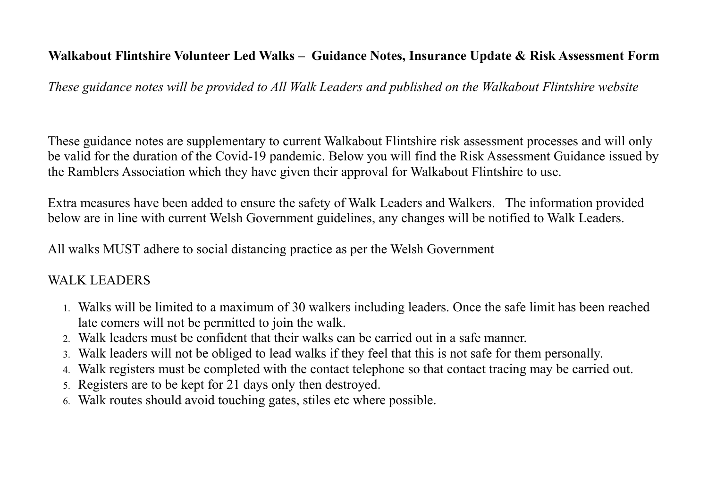# **Walkabout Flintshire Volunteer Led Walks – Guidance Notes, Insurance Update & Risk Assessment Form**

*These guidance notes will be provided to All Walk Leaders and published on the Walkabout Flintshire website* 

These guidance notes are supplementary to current Walkabout Flintshire risk assessment processes and will only be valid for the duration of the Covid-19 pandemic. Below you will find the Risk Assessment Guidance issued by the Ramblers Association which they have given their approval for Walkabout Flintshire to use.

Extra measures have been added to ensure the safety of Walk Leaders and Walkers. The information provided below are in line with current Welsh Government guidelines, any changes will be notified to Walk Leaders.

All walks MUST adhere to social distancing practice as per the Welsh Government

### WALK LEADERS

- 1. Walks will be limited to a maximum of 30 walkers including leaders. Once the safe limit has been reached late comers will not be permitted to join the walk.
- 2. Walk leaders must be confident that their walks can be carried out in a safe manner.
- 3. Walk leaders will not be obliged to lead walks if they feel that this is not safe for them personally.
- 4. Walk registers must be completed with the contact telephone so that contact tracing may be carried out.
- 5. Registers are to be kept for 21 days only then destroyed.
- 6. Walk routes should avoid touching gates, stiles etc where possible.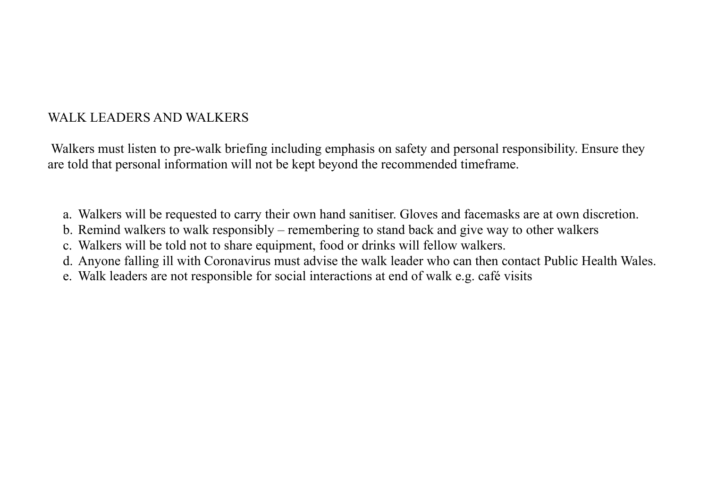# WALK LEADERS AND WALKERS

 Walkers must listen to pre-walk briefing including emphasis on safety and personal responsibility. Ensure they are told that personal information will not be kept beyond the recommended timeframe.

- a. Walkers will be requested to carry their own hand sanitiser. Gloves and facemasks are at own discretion.
- b. Remind walkers to walk responsibly remembering to stand back and give way to other walkers
- c. Walkers will be told not to share equipment, food or drinks will fellow walkers.
- d. Anyone falling ill with Coronavirus must advise the walk leader who can then contact Public Health Wales.
- e. Walk leaders are not responsible for social interactions at end of walk e.g. café visits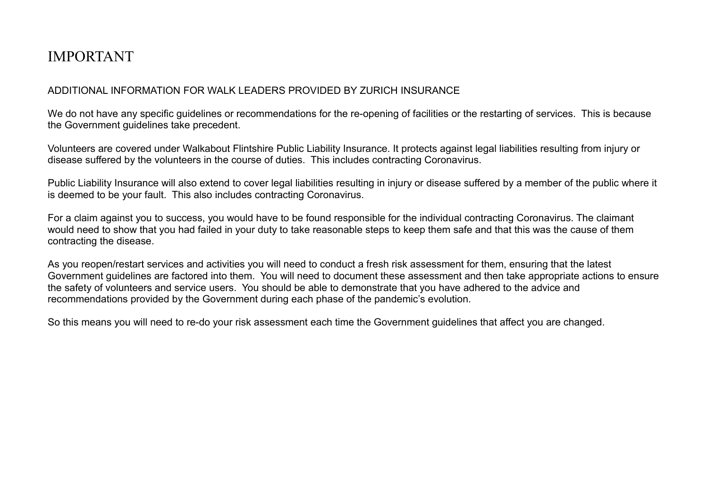# IMPORTANT

### ADDITIONAL INFORMATION FOR WALK LEADERS PROVIDED BY ZURICH INSURANCE

We do not have any specific quidelines or recommendations for the re-opening of facilities or the restarting of services. This is because the Government guidelines take precedent.

Volunteers are covered under Walkabout Flintshire Public Liability Insurance. It protects against legal liabilities resulting from injury or disease suffered by the volunteers in the course of duties. This includes contracting Coronavirus.

Public Liability Insurance will also extend to cover legal liabilities resulting in injury or disease suffered by a member of the public where it is deemed to be your fault. This also includes contracting Coronavirus.

For a claim against you to success, you would have to be found responsible for the individual contracting Coronavirus. The claimant would need to show that you had failed in your duty to take reasonable steps to keep them safe and that this was the cause of them contracting the disease.

As you reopen/restart services and activities you will need to conduct a fresh risk assessment for them, ensuring that the latest Government guidelines are factored into them. You will need to document these assessment and then take appropriate actions to ensure the safety of volunteers and service users. You should be able to demonstrate that you have adhered to the advice and recommendations provided by the Government during each phase of the pandemic's evolution.

So this means you will need to re-do your risk assessment each time the Government guidelines that affect you are changed.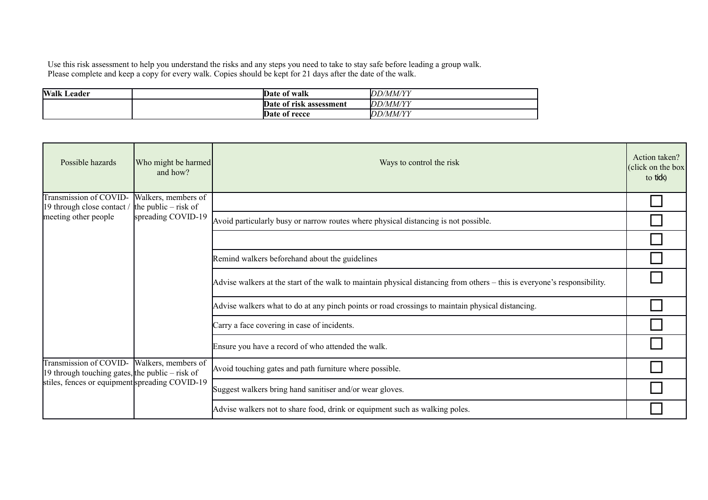Use this risk assessment to help you understand the risks and any steps you need to take to stay safe before leading a group walk. Please complete and keep a copy for every walk. Copies should be kept for 21 days after the date of the walk.

| <b>Walk</b><br>Leader | Date of walk            | <b>IDD/MM/YY</b> |
|-----------------------|-------------------------|------------------|
|                       | Date of risk assessment | <i>DD/MM/YY</i>  |
|                       | Date of recce           | <b>DD/MM/YY</b>  |

| Possible hazards                                                                                                              | Who might be harmed<br>and how?                                     | Ways to control the risk                                                                                                 | Action taken?<br>(click on the box)<br>to tido |
|-------------------------------------------------------------------------------------------------------------------------------|---------------------------------------------------------------------|--------------------------------------------------------------------------------------------------------------------------|------------------------------------------------|
| Transmission of COVID-<br>19 through close contact /<br>meeting other people                                                  | Walkers, members of<br>the public $-$ risk of<br>spreading COVID-19 |                                                                                                                          |                                                |
|                                                                                                                               |                                                                     | Avoid particularly busy or narrow routes where physical distancing is not possible.                                      |                                                |
|                                                                                                                               |                                                                     |                                                                                                                          |                                                |
|                                                                                                                               |                                                                     | Remind walkers beforehand about the guidelines                                                                           |                                                |
|                                                                                                                               |                                                                     | Advise walkers at the start of the walk to maintain physical distancing from others - this is everyone's responsibility. |                                                |
|                                                                                                                               |                                                                     | Advise walkers what to do at any pinch points or road crossings to maintain physical distancing.                         |                                                |
|                                                                                                                               |                                                                     | Carry a face covering in case of incidents.                                                                              |                                                |
|                                                                                                                               |                                                                     | Ensure you have a record of who attended the walk.                                                                       |                                                |
| Transmission of COVID-<br>19 through touching gates, the public $-$ risk of<br>stiles, fences or equipment spreading COVID-19 | Walkers, members of                                                 | Avoid touching gates and path furniture where possible.                                                                  |                                                |
|                                                                                                                               |                                                                     | Suggest walkers bring hand sanitiser and/or wear gloves.                                                                 |                                                |
|                                                                                                                               |                                                                     | Advise walkers not to share food, drink or equipment such as walking poles.                                              |                                                |